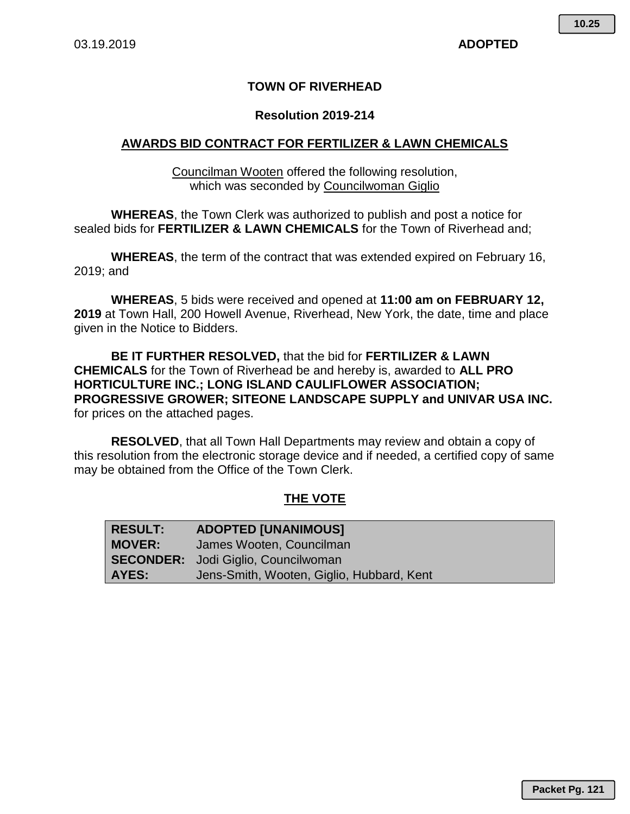## **TOWN OF RIVERHEAD**

#### **Resolution 2019-214**

#### **AWARDS BID CONTRACT FOR FERTILIZER & LAWN CHEMICALS**

Councilman Wooten offered the following resolution, which was seconded by Councilwoman Giglio

**WHEREAS**, the Town Clerk was authorized to publish and post a notice for sealed bids for **FERTILIZER & LAWN CHEMICALS** for the Town of Riverhead and;

**WHEREAS**, the term of the contract that was extended expired on February 16, 2019; and

**WHEREAS**, 5 bids were received and opened at **11:00 am on FEBRUARY 12, 2019** at Town Hall, 200 Howell Avenue, Riverhead, New York, the date, time and place given in the Notice to Bidders.

**BE IT FURTHER RESOLVED,** that the bid for **FERTILIZER & LAWN CHEMICALS** for the Town of Riverhead be and hereby is, awarded to **ALL PRO HORTICULTURE INC.; LONG ISLAND CAULIFLOWER ASSOCIATION; PROGRESSIVE GROWER; SITEONE LANDSCAPE SUPPLY and UNIVAR USA INC.**  for prices on the attached pages.

**RESOLVED**, that all Town Hall Departments may review and obtain a copy of this resolution from the electronic storage device and if needed, a certified copy of same may be obtained from the Office of the Town Clerk.

### **THE VOTE**

| RESULT: | <b>ADOPTED [UNANIMOUS]</b>                 |
|---------|--------------------------------------------|
| MOVER:  | James Wooten, Councilman                   |
|         | <b>SECONDER:</b> Jodi Giglio, Councilwoman |
| AYES:   | Jens-Smith, Wooten, Giglio, Hubbard, Kent  |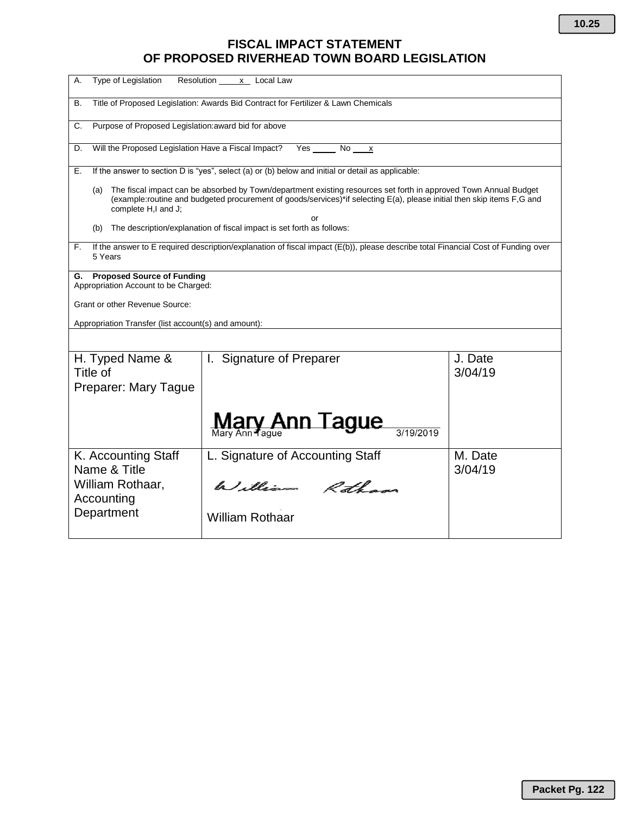# **FISCAL IMPACT STATEMENT OF PROPOSED RIVERHEAD TOWN BOARD LEGISLATION**

| Type of Legislation<br>А.                                                                                                                          | Resolution<br>x Local Law                                                                                                                                                                                                                  |                    |  |  |  |  |  |  |
|----------------------------------------------------------------------------------------------------------------------------------------------------|--------------------------------------------------------------------------------------------------------------------------------------------------------------------------------------------------------------------------------------------|--------------------|--|--|--|--|--|--|
| В.                                                                                                                                                 | Title of Proposed Legislation: Awards Bid Contract for Fertilizer & Lawn Chemicals                                                                                                                                                         |                    |  |  |  |  |  |  |
| C.                                                                                                                                                 | Purpose of Proposed Legislation: award bid for above                                                                                                                                                                                       |                    |  |  |  |  |  |  |
| Will the Proposed Legislation Have a Fiscal Impact?<br>Yes<br>No<br>D.<br>$\boldsymbol{\mathsf{x}}$                                                |                                                                                                                                                                                                                                            |                    |  |  |  |  |  |  |
| Е.                                                                                                                                                 | If the answer to section D is "yes", select (a) or (b) below and initial or detail as applicable:                                                                                                                                          |                    |  |  |  |  |  |  |
| (a)<br>complete H,I and J;                                                                                                                         | The fiscal impact can be absorbed by Town/department existing resources set forth in approved Town Annual Budget<br>(example:routine and budgeted procurement of goods/services)*if selecting E(a), please initial then skip items F,G and |                    |  |  |  |  |  |  |
| (b)                                                                                                                                                | or<br>The description/explanation of fiscal impact is set forth as follows:                                                                                                                                                                |                    |  |  |  |  |  |  |
| If the answer to E required description/explanation of fiscal impact (E(b)), please describe total Financial Cost of Funding over<br>F.<br>5 Years |                                                                                                                                                                                                                                            |                    |  |  |  |  |  |  |
| Appropriation Account to be Charged:                                                                                                               | G. Proposed Source of Funding                                                                                                                                                                                                              |                    |  |  |  |  |  |  |
| Grant or other Revenue Source:                                                                                                                     |                                                                                                                                                                                                                                            |                    |  |  |  |  |  |  |
| Appropriation Transfer (list account(s) and amount):                                                                                               |                                                                                                                                                                                                                                            |                    |  |  |  |  |  |  |
|                                                                                                                                                    |                                                                                                                                                                                                                                            |                    |  |  |  |  |  |  |
| H. Typed Name &<br>Title of<br>Preparer: Mary Tague                                                                                                | I. Signature of Preparer                                                                                                                                                                                                                   | J. Date<br>3/04/19 |  |  |  |  |  |  |
|                                                                                                                                                    |                                                                                                                                                                                                                                            |                    |  |  |  |  |  |  |
|                                                                                                                                                    | Mary Ann Tague                                                                                                                                                                                                                             |                    |  |  |  |  |  |  |
| K. Accounting Staff                                                                                                                                | L. Signature of Accounting Staff                                                                                                                                                                                                           | M. Date            |  |  |  |  |  |  |
| Name & Title<br>William Rothaar,<br>Accounting                                                                                                     | William Rothans                                                                                                                                                                                                                            | 3/04/19            |  |  |  |  |  |  |
| Department                                                                                                                                         | <b>William Rothaar</b>                                                                                                                                                                                                                     |                    |  |  |  |  |  |  |